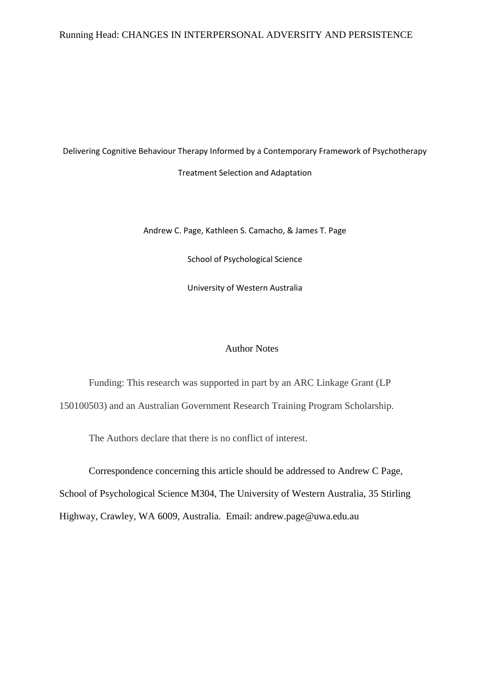## Running Head: CHANGES IN INTERPERSONAL ADVERSITY AND PERSISTENCE

Delivering Cognitive Behaviour Therapy Informed by a Contemporary Framework of Psychotherapy Treatment Selection and Adaptation

Andrew C. Page, Kathleen S. Camacho, & James T. Page

School of Psychological Science

University of Western Australia

## Author Notes

Funding: This research was supported in part by an ARC Linkage Grant (LP 150100503) and an Australian Government Research Training Program Scholarship.

The Authors declare that there is no conflict of interest.

Correspondence concerning this article should be addressed to Andrew C Page, School of Psychological Science M304, The University of Western Australia, 35 Stirling Highway, Crawley, WA 6009, Australia. Email: andrew.page@uwa.edu.au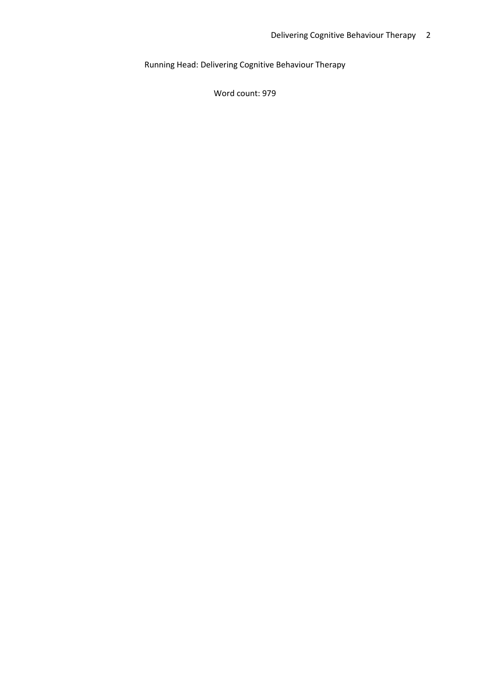Running Head: Delivering Cognitive Behaviour Therapy

Word count: 979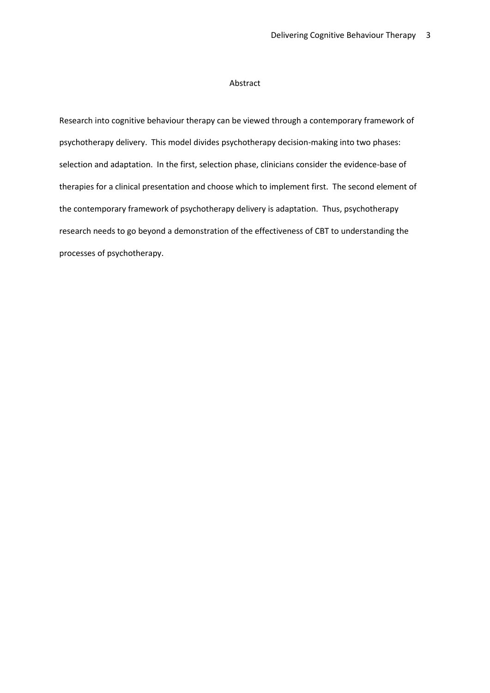#### Abstract

Research into cognitive behaviour therapy can be viewed through a contemporary framework of psychotherapy delivery. This model divides psychotherapy decision-making into two phases: selection and adaptation. In the first, selection phase, clinicians consider the evidence-base of therapies for a clinical presentation and choose which to implement first. The second element of the contemporary framework of psychotherapy delivery is adaptation. Thus, psychotherapy research needs to go beyond a demonstration of the effectiveness of CBT to understanding the processes of psychotherapy.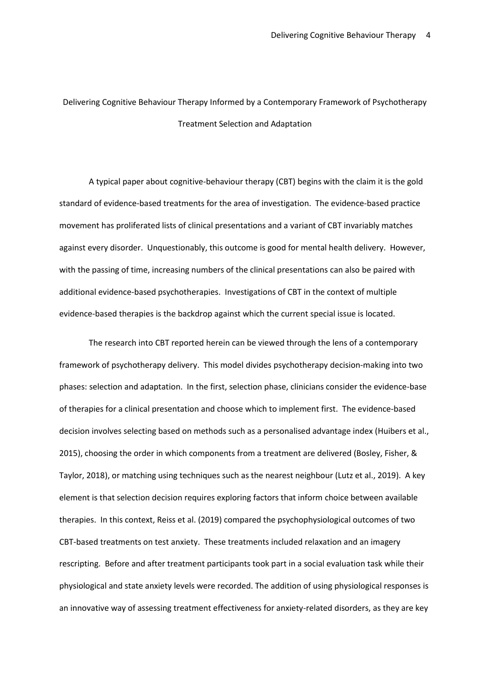# Delivering Cognitive Behaviour Therapy Informed by a Contemporary Framework of Psychotherapy Treatment Selection and Adaptation

A typical paper about cognitive-behaviour therapy (CBT) begins with the claim it is the gold standard of evidence-based treatments for the area of investigation. The evidence-based practice movement has proliferated lists of clinical presentations and a variant of CBT invariably matches against every disorder. Unquestionably, this outcome is good for mental health delivery. However, with the passing of time, increasing numbers of the clinical presentations can also be paired with additional evidence-based psychotherapies. Investigations of CBT in the context of multiple evidence-based therapies is the backdrop against which the current special issue is located.

The research into CBT reported herein can be viewed through the lens of a contemporary framework of psychotherapy delivery. This model divides psychotherapy decision-making into two phases: selection and adaptation. In the first, selection phase, clinicians consider the evidence-base of therapies for a clinical presentation and choose which to implement first. The evidence-based decision involves selecting based on methods such as a personalised advantage index (Huibers et al., 2015), choosing the order in which components from a treatment are delivered (Bosley, Fisher, & Taylor, 2018), or matching using techniques such as the nearest neighbour (Lutz et al., 2019). A key element is that selection decision requires exploring factors that inform choice between available therapies. In this context, Reiss et al. (2019) compared the psychophysiological outcomes of two CBT-based treatments on test anxiety. These treatments included relaxation and an imagery rescripting. Before and after treatment participants took part in a social evaluation task while their physiological and state anxiety levels were recorded. The addition of using physiological responses is an innovative way of assessing treatment effectiveness for anxiety-related disorders, as they are key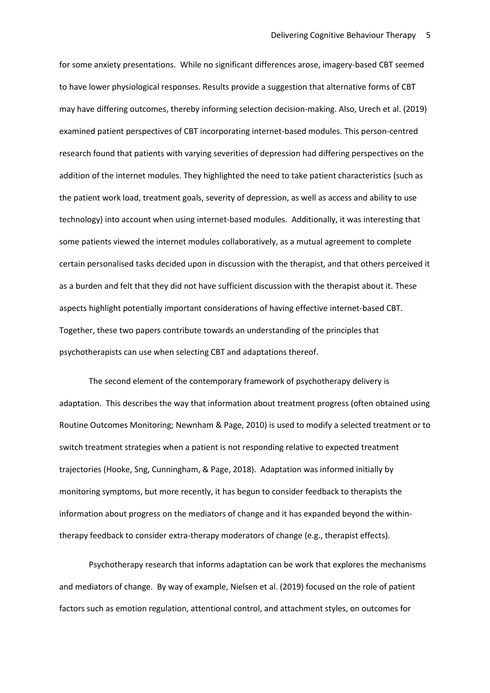for some anxiety presentations. While no significant differences arose, imagery-based CBT seemed to have lower physiological responses. Results provide a suggestion that alternative forms of CBT may have differing outcomes, thereby informing selection decision-making. Also, Urech et al. (2019) examined patient perspectives of CBT incorporating internet-based modules. This person-centred research found that patients with varying severities of depression had differing perspectives on the addition of the internet modules. They highlighted the need to take patient characteristics (such as the patient work load, treatment goals, severity of depression, as well as access and ability to use technology) into account when using internet-based modules. Additionally, it was interesting that some patients viewed the internet modules collaboratively, as a mutual agreement to complete certain personalised tasks decided upon in discussion with the therapist, and that others perceived it as a burden and felt that they did not have sufficient discussion with the therapist about it. These aspects highlight potentially important considerations of having effective internet-based CBT. Together, these two papers contribute towards an understanding of the principles that psychotherapists can use when selecting CBT and adaptations thereof.

The second element of the contemporary framework of psychotherapy delivery is adaptation. This describes the way that information about treatment progress (often obtained using Routine Outcomes Monitoring; Newnham & Page, 2010) is used to modify a selected treatment or to switch treatment strategies when a patient is not responding relative to expected treatment trajectories (Hooke, Sng, Cunningham, & Page, 2018). Adaptation was informed initially by monitoring symptoms, but more recently, it has begun to consider feedback to therapists the information about progress on the mediators of change and it has expanded beyond the withintherapy feedback to consider extra-therapy moderators of change (e.g., therapist effects).

Psychotherapy research that informs adaptation can be work that explores the mechanisms and mediators of change. By way of example, Nielsen et al. (2019) focused on the role of patient factors such as emotion regulation, attentional control, and attachment styles, on outcomes for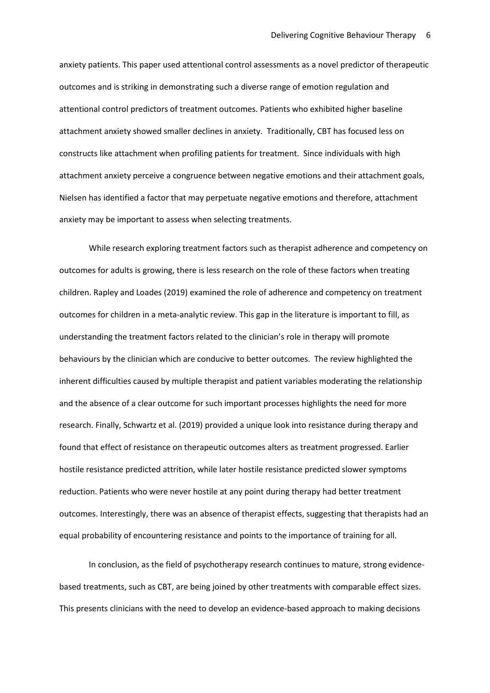anxiety patients. This paper used attentional control assessments as a novel predictor of therapeutic outcomes and is striking in demonstrating such a diverse range of emotion regulation and attentional control predictors of treatment outcomes. Patients who exhibited higher baseline attachment anxiety showed smaller declines in anxiety. Traditionally, CBT has focused less on constructs like attachment when profiling patients for treatment. Since individuals with high attachment anxiety perceive a congruence between negative emotions and their attachment goals, Nielsen has identified a factor that may perpetuate negative emotions and therefore, attachment anxiety may be important to assess when selecting treatments.

While research exploring treatment factors such as therapist adherence and competency on outcomes for adults is growing, there is less research on the role of these factors when treating children. Rapley and Loades (2019) examined the role of adherence and competency on treatment outcomes for children in a meta-analytic review. This gap in the literature is important to fill, as understanding the treatment factors related to the clinician's role in therapy will promote behaviours by the clinician which are conducive to better outcomes. The review highlighted the inherent difficulties caused by multiple therapist and patient variables moderating the relationship and the absence of a clear outcome for such important processes highlights the need for more research. Finally, Schwartz et al. (2019) provided a unique look into resistance during therapy and found that effect of resistance on therapeutic outcomes alters as treatment progressed. Earlier hostile resistance predicted attrition, while later hostile resistance predicted slower symptoms reduction. Patients who were never hostile at any point during therapy had better treatment outcomes. Interestingly, there was an absence of therapist effects, suggesting that therapists had an equal probability of encountering resistance and points to the importance of training for all.

In conclusion, as the field of psychotherapy research continues to mature, strong evidencebased treatments, such as CBT, are being joined by other treatments with comparable effect sizes. This presents clinicians with the need to develop an evidence-based approach to making decisions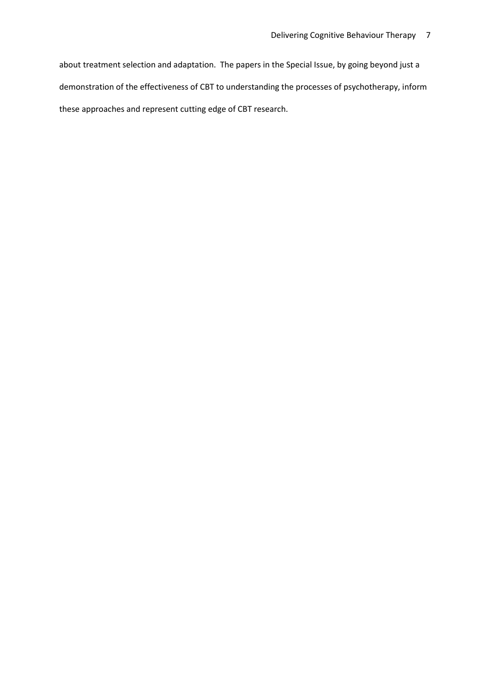about treatment selection and adaptation. The papers in the Special Issue, by going beyond just a demonstration of the effectiveness of CBT to understanding the processes of psychotherapy, inform these approaches and represent cutting edge of CBT research.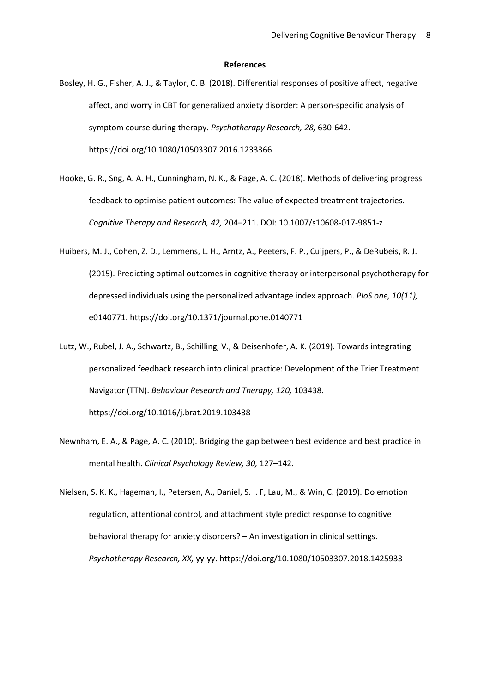### **References**

- Bosley, H. G., Fisher, A. J., & Taylor, C. B. (2018). Differential responses of positive affect, negative affect, and worry in CBT for generalized anxiety disorder: A person-specific analysis of symptom course during therapy. *Psychotherapy Research, 28,* 630-642. https://doi.org/10.1080/10503307.2016.1233366
- Hooke, G. R., Sng, A. A. H., Cunningham, N. K., & Page, A. C. (2018). Methods of delivering progress feedback to optimise patient outcomes: The value of expected treatment trajectories. *Cognitive Therapy and Research, 42,* 204–211. DOI: 10.1007/s10608-017-9851-z
- Huibers, M. J., Cohen, Z. D., Lemmens, L. H., Arntz, A., Peeters, F. P., Cuijpers, P., & DeRubeis, R. J. (2015). Predicting optimal outcomes in cognitive therapy or interpersonal psychotherapy for depressed individuals using the personalized advantage index approach. *PloS one, 10(11),* e0140771. https://doi.org/10.1371/journal.pone.0140771
- Lutz, W., Rubel, J. A., Schwartz, B., Schilling, V., & Deisenhofer, A. K. (2019). Towards integrating personalized feedback research into clinical practice: Development of the Trier Treatment Navigator (TTN). *Behaviour Research and Therapy, 120,* 103438. https://doi.org/10.1016/j.brat.2019.103438
- Newnham, E. A., & Page, A. C. (2010). Bridging the gap between best evidence and best practice in mental health. *Clinical Psychology Review, 30,* 127–142.

Nielsen, S. K. K., Hageman, I., Petersen, A., Daniel, S. I. F, Lau, M., & Win, C. (2019). Do emotion regulation, attentional control, and attachment style predict response to cognitive behavioral therapy for anxiety disorders? – An investigation in clinical settings. *Psychotherapy Research, XX,* yy-yy. https://doi.org/10.1080/10503307.2018.1425933